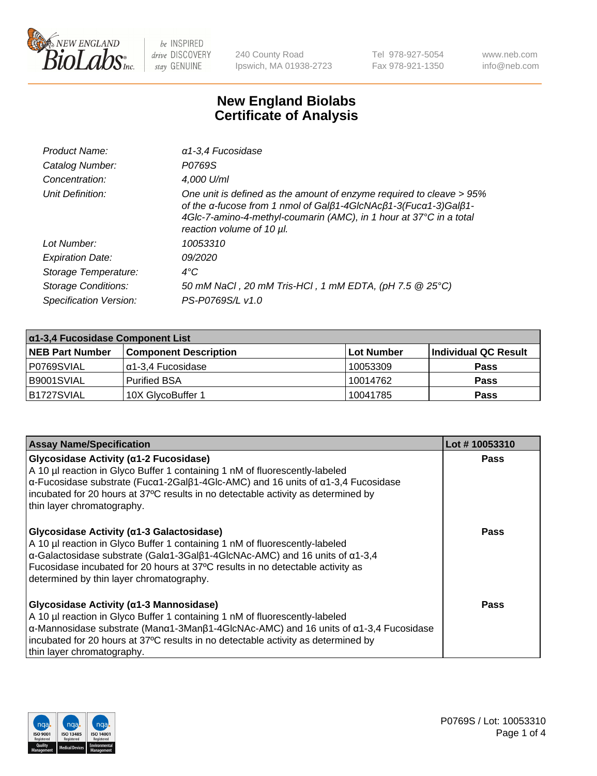

240 County Road Ipswich, MA 01938-2723 Tel 978-927-5054 Fax 978-921-1350 www.neb.com info@neb.com

## **New England Biolabs Certificate of Analysis**

| $\alpha$ 1-3,4 Fucosidase                                                                                                                                                                                                                  |
|--------------------------------------------------------------------------------------------------------------------------------------------------------------------------------------------------------------------------------------------|
| P0769S                                                                                                                                                                                                                                     |
| 4,000 U/ml                                                                                                                                                                                                                                 |
| One unit is defined as the amount of enzyme required to cleave > 95%<br>of the α-fucose from 1 nmol of Galβ1-4GlcNAcβ1-3(Fucα1-3)Galβ1-<br>4Glc-7-amino-4-methyl-coumarin (AMC), in 1 hour at 37°C in a total<br>reaction volume of 10 µl. |
| 10053310                                                                                                                                                                                                                                   |
| 09/2020                                                                                                                                                                                                                                    |
| $4^{\circ}$ C                                                                                                                                                                                                                              |
| 50 mM NaCl, 20 mM Tris-HCl, 1 mM EDTA, (pH 7.5 @ 25°C)                                                                                                                                                                                     |
| PS-P0769S/L v1.0                                                                                                                                                                                                                           |
|                                                                                                                                                                                                                                            |

| $\alpha$ 1-3,4 Fucosidase Component List |                              |             |                      |  |
|------------------------------------------|------------------------------|-------------|----------------------|--|
| <b>NEB Part Number</b>                   | <b>Component Description</b> | ∣Lot Number | Individual QC Result |  |
| P0769SVIAL                               | α1-3,4 Fucosidase            | 10053309    | <b>Pass</b>          |  |
| B9001SVIAL                               | l Purified BSA               | 10014762    | <b>Pass</b>          |  |
| B1727SVIAL                               | 10X GlycoBuffer 1            | 10041785    | <b>Pass</b>          |  |

| <b>Assay Name/Specification</b>                                                                                                                                                                                                                                                                                                                                        | Lot #10053310 |
|------------------------------------------------------------------------------------------------------------------------------------------------------------------------------------------------------------------------------------------------------------------------------------------------------------------------------------------------------------------------|---------------|
| <b>Glycosidase Activity (α1-2 Fucosidase)</b><br>A 10 µl reaction in Glyco Buffer 1 containing 1 nM of fluorescently-labeled<br>$\alpha$ -Fucosidase substrate (Fuc $\alpha$ 1-2Gal $\beta$ 1-4Glc-AMC) and 16 units of $\alpha$ 1-3,4 Fucosidase<br>incubated for 20 hours at 37°C results in no detectable activity as determined by<br>thin layer chromatography.   | <b>Pass</b>   |
| Glycosidase Activity (α1-3 Galactosidase)<br>A 10 µl reaction in Glyco Buffer 1 containing 1 nM of fluorescently-labeled<br>$\alpha$ -Galactosidase substrate (Gal $\alpha$ 1-3Gal $\beta$ 1-4GlcNAc-AMC) and 16 units of $\alpha$ 1-3,4<br>Fucosidase incubated for 20 hours at 37°C results in no detectable activity as<br>determined by thin layer chromatography. | Pass          |
| Glycosidase Activity (α1-3 Mannosidase)<br>A 10 µl reaction in Glyco Buffer 1 containing 1 nM of fluorescently-labeled<br>$\alpha$ -Mannosidase substrate (Man $\alpha$ 1-3Man $\beta$ 1-4GlcNAc-AMC) and 16 units of $\alpha$ 1-3,4 Fucosidase<br>incubated for 20 hours at 37°C results in no detectable activity as determined by<br>thin layer chromatography.     | Pass          |

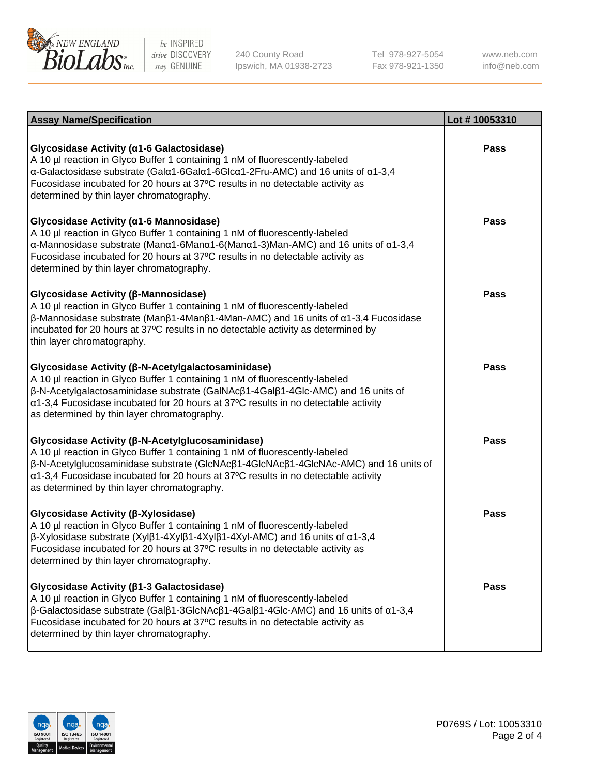

240 County Road Ipswich, MA 01938-2723 Tel 978-927-5054 Fax 978-921-1350

www.neb.com info@neb.com

| <b>Assay Name/Specification</b>                                                                                                                                                                                                                                                                                                                                                     | Lot #10053310 |
|-------------------------------------------------------------------------------------------------------------------------------------------------------------------------------------------------------------------------------------------------------------------------------------------------------------------------------------------------------------------------------------|---------------|
| Glycosidase Activity (α1-6 Galactosidase)<br>A 10 µl reaction in Glyco Buffer 1 containing 1 nM of fluorescently-labeled<br>α-Galactosidase substrate (Galα1-6Galα1-6Glcα1-2Fru-AMC) and 16 units of α1-3,4<br>Fucosidase incubated for 20 hours at 37°C results in no detectable activity as<br>determined by thin layer chromatography.                                           | <b>Pass</b>   |
| Glycosidase Activity (α1-6 Mannosidase)<br>A 10 µl reaction in Glyco Buffer 1 containing 1 nM of fluorescently-labeled<br>$\alpha$ -Mannosidase substrate (Man $\alpha$ 1-6Man $\alpha$ 1-6(Man $\alpha$ 1-3)Man-AMC) and 16 units of $\alpha$ 1-3,4<br>Fucosidase incubated for 20 hours at 37°C results in no detectable activity as<br>determined by thin layer chromatography.  | Pass          |
| Glycosidase Activity (β-Mannosidase)<br>A 10 µl reaction in Glyco Buffer 1 containing 1 nM of fluorescently-labeled<br>$\beta$ -Mannosidase substrate (Μanβ1-4Μanβ1-4Μan-AMC) and 16 units of α1-3,4 Fucosidase<br>incubated for 20 hours at 37°C results in no detectable activity as determined by<br>thin layer chromatography.                                                  | <b>Pass</b>   |
| Glycosidase Activity (β-N-Acetylgalactosaminidase)<br>A 10 µl reaction in Glyco Buffer 1 containing 1 nM of fluorescently-labeled<br>β-N-Acetylgalactosaminidase substrate (GalNAcβ1-4Galβ1-4Glc-AMC) and 16 units of<br>α1-3,4 Fucosidase incubated for 20 hours at 37°C results in no detectable activity<br>as determined by thin layer chromatography.                          | <b>Pass</b>   |
| Glycosidase Activity (β-N-Acetylglucosaminidase)<br>A 10 µl reaction in Glyco Buffer 1 containing 1 nM of fluorescently-labeled<br>$\beta$ -N-Acetylglucosaminidase substrate (GlcNAc $\beta$ 1-4GlcNAc $\beta$ 1-4GlcNAc-AMC) and 16 units of<br>α1-3,4 Fucosidase incubated for 20 hours at 37°C results in no detectable activity<br>as determined by thin layer chromatography. | <b>Pass</b>   |
| Glycosidase Activity (β-Xylosidase)<br>A 10 µl reaction in Glyco Buffer 1 containing 1 nM of fluorescently-labeled<br>$\beta$ -Xylosidase substrate (Xylβ1-4Xylβ1-4Xylβ1-4Xyl-AMC) and 16 units of $\alpha$ 1-3,4<br>Fucosidase incubated for 20 hours at 37°C results in no detectable activity as<br>determined by thin layer chromatography.                                     | Pass          |
| Glycosidase Activity (β1-3 Galactosidase)<br>A 10 µl reaction in Glyco Buffer 1 containing 1 nM of fluorescently-labeled<br>$\beta$ -Galactosidase substrate (Galβ1-3GlcNAcβ1-4Galβ1-4Glc-AMC) and 16 units of α1-3,4<br>Fucosidase incubated for 20 hours at 37°C results in no detectable activity as<br>determined by thin layer chromatography.                                 | <b>Pass</b>   |

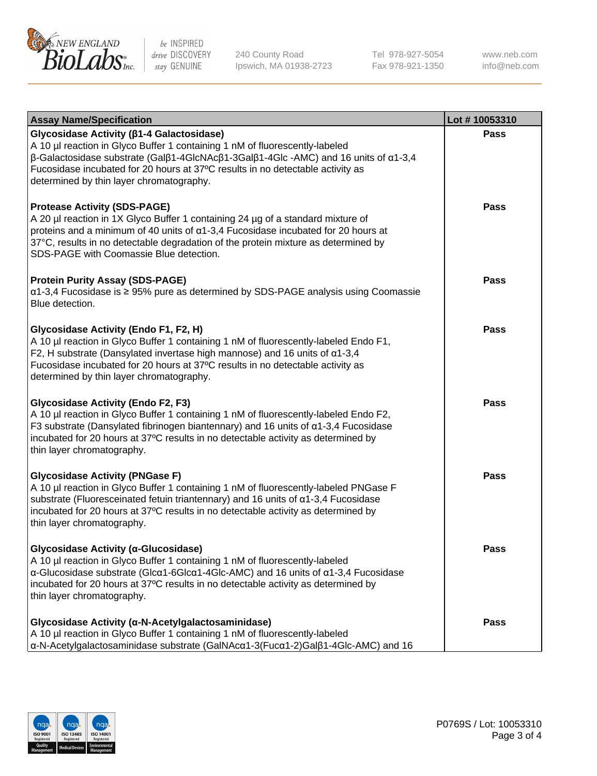

240 County Road Ipswich, MA 01938-2723 Tel 978-927-5054 Fax 978-921-1350 www.neb.com info@neb.com

| <b>Assay Name/Specification</b>                                                                                                                                                                                                                                                                                                                               | Lot #10053310 |
|---------------------------------------------------------------------------------------------------------------------------------------------------------------------------------------------------------------------------------------------------------------------------------------------------------------------------------------------------------------|---------------|
| Glycosidase Activity ( $\beta$ 1-4 Galactosidase)<br>A 10 µl reaction in Glyco Buffer 1 containing 1 nM of fluorescently-labeled<br>$\beta$ -Galactosidase substrate (Galβ1-4GlcNAcβ1-3Galβ1-4Glc -AMC) and 16 units of α1-3,4<br>Fucosidase incubated for 20 hours at 37°C results in no detectable activity as<br>determined by thin layer chromatography.  | <b>Pass</b>   |
| <b>Protease Activity (SDS-PAGE)</b><br>A 20 µl reaction in 1X Glyco Buffer 1 containing 24 µg of a standard mixture of<br>proteins and a minimum of 40 units of α1-3,4 Fucosidase incubated for 20 hours at<br>37°C, results in no detectable degradation of the protein mixture as determined by<br>SDS-PAGE with Coomassie Blue detection.                  | Pass          |
| <b>Protein Purity Assay (SDS-PAGE)</b><br>α1-3,4 Fucosidase is ≥ 95% pure as determined by SDS-PAGE analysis using Coomassie<br>Blue detection.                                                                                                                                                                                                               | <b>Pass</b>   |
| Glycosidase Activity (Endo F1, F2, H)<br>A 10 µl reaction in Glyco Buffer 1 containing 1 nM of fluorescently-labeled Endo F1,<br>F2, H substrate (Dansylated invertase high mannose) and 16 units of $\alpha$ 1-3,4<br>Fucosidase incubated for 20 hours at 37°C results in no detectable activity as<br>determined by thin layer chromatography.             | Pass          |
| <b>Glycosidase Activity (Endo F2, F3)</b><br>A 10 µl reaction in Glyco Buffer 1 containing 1 nM of fluorescently-labeled Endo F2,<br>F3 substrate (Dansylated fibrinogen biantennary) and 16 units of $\alpha$ 1-3,4 Fucosidase<br>incubated for 20 hours at 37°C results in no detectable activity as determined by<br>thin layer chromatography.            | <b>Pass</b>   |
| <b>Glycosidase Activity (PNGase F)</b><br>A 10 µl reaction in Glyco Buffer 1 containing 1 nM of fluorescently-labeled PNGase F<br>substrate (Fluoresceinated fetuin triantennary) and 16 units of α1-3,4 Fucosidase<br>incubated for 20 hours at 37°C results in no detectable activity as determined by<br>thin layer chromatography.                        | <b>Pass</b>   |
| Glycosidase Activity (α-Glucosidase)<br>A 10 µl reaction in Glyco Buffer 1 containing 1 nM of fluorescently-labeled<br>$\alpha$ -Glucosidase substrate (Glc $\alpha$ 1-6Glc $\alpha$ 1-4Glc-AMC) and 16 units of $\alpha$ 1-3,4 Fucosidase<br>incubated for 20 hours at 37°C results in no detectable activity as determined by<br>thin layer chromatography. | Pass          |
| Glycosidase Activity (α-N-Acetylgalactosaminidase)<br>A 10 µl reaction in Glyco Buffer 1 containing 1 nM of fluorescently-labeled<br>α-N-Acetylgalactosaminidase substrate (GalNAcα1-3(Fucα1-2)Galβ1-4Glc-AMC) and 16                                                                                                                                         | <b>Pass</b>   |